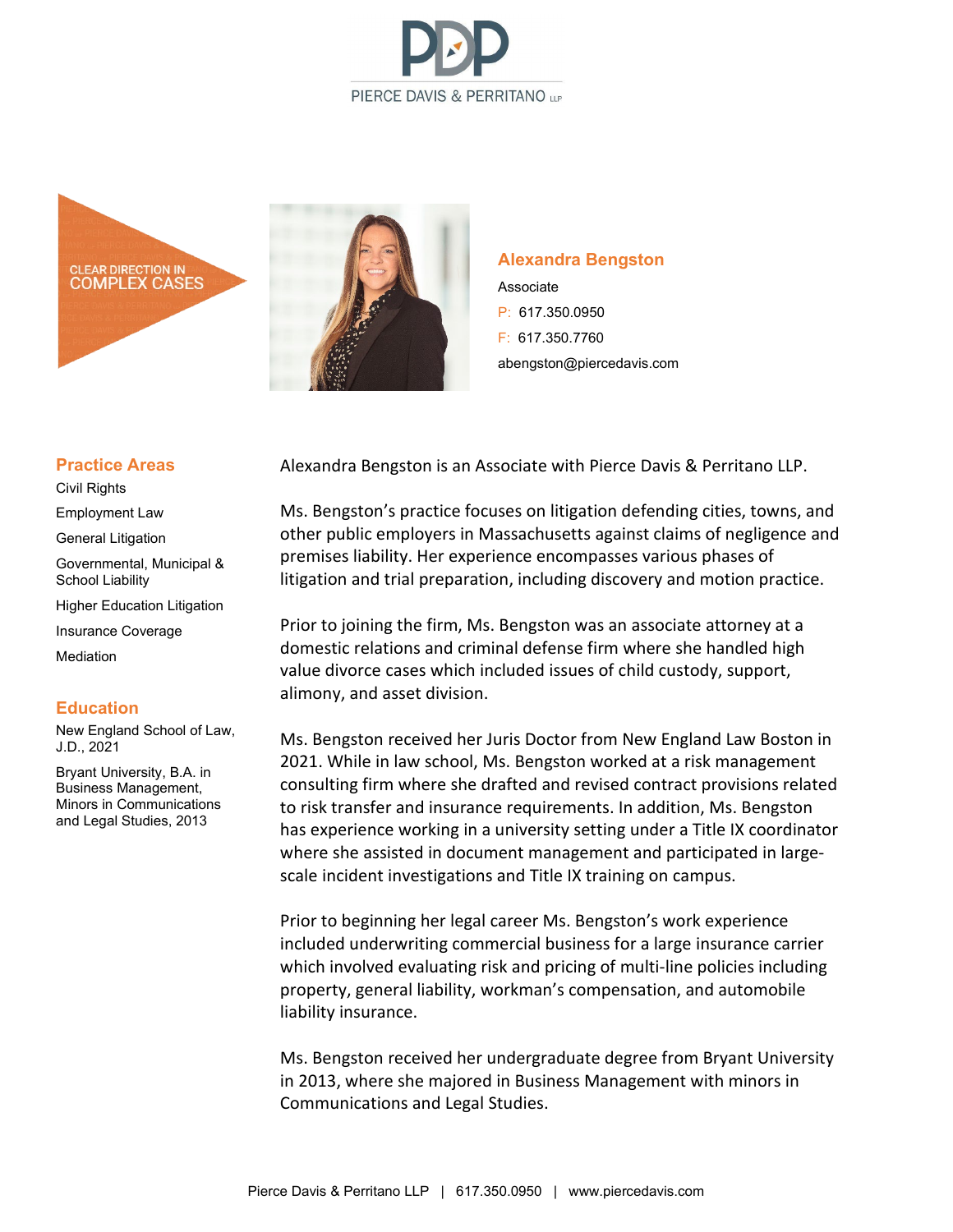





## **Alexandra Bengston**

Associate P: 617.350.0950 F: 617.350.7760 abengston@piercedavis.com

## **Practice Areas**

Civil Rights

Employment Law

General Litigation

Governmental, Municipal & School Liability

Higher Education Litigation

Insurance Coverage

Mediation

## **Education**

New England School of Law, J.D., 2021

Bryant University, B.A. in Business Management, Minors in Communications and Legal Studies, 2013

Alexandra Bengston is an Associate with Pierce Davis & Perritano LLP.

Ms. Bengston's practice focuses on litigation defending cities, towns, and other public employers in Massachusetts against claims of negligence and premises liability. Her experience encompasses various phases of litigation and trial preparation, including discovery and motion practice.

Prior to joining the firm, Ms. Bengston was an associate attorney at a domestic relations and criminal defense firm where she handled high value divorce cases which included issues of child custody, support, alimony, and asset division.

Ms. Bengston received her Juris Doctor from New England Law Boston in 2021. While in law school, Ms. Bengston worked at a risk management consulting firm where she drafted and revised contract provisions related to risk transfer and insurance requirements. In addition, Ms. Bengston has experience working in a university setting under a Title IX coordinator where she assisted in document management and participated in largescale incident investigations and Title IX training on campus.

Prior to beginning her legal career Ms. Bengston's work experience included underwriting commercial business for a large insurance carrier which involved evaluating risk and pricing of multi-line policies including property, general liability, workman's compensation, and automobile liability insurance.

Ms. Bengston received her undergraduate degree from Bryant University in 2013, where she majored in Business Management with minors in Communications and Legal Studies.